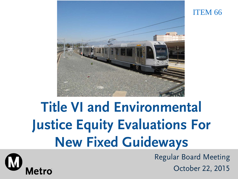

# **Title VI and Environmental Justice Equity Evaluations For New Fixed Guideways**

Regular Board Meeting October 22, 2015

ITEM 66

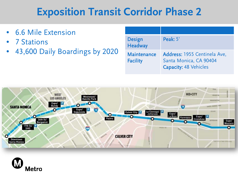## **Exposition Transit Corridor Phase 2**

- 6.6 Mile Extension
- 7 Stations
- 43,600 Daily Boardings by 2020

| <b>Design</b><br><b>Headway</b>       | Peak: 5'                                                                               |
|---------------------------------------|----------------------------------------------------------------------------------------|
| <b>Maintenance</b><br><b>Facility</b> | Address: 1955 Centinela Ave,<br>Santa Monica, CA 90404<br><b>Capacity: 48 Vehicles</b> |



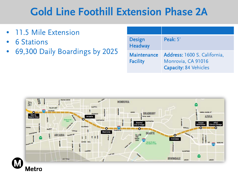# **Gold Line Foothill Extension Phase 2A**

- 11.5 Mile Extension
- 6 Stations
- 69,300 Daily Boardings by 2025

| <b>Design</b><br><b>Headway</b>       | Peak: 5'                                                                           |
|---------------------------------------|------------------------------------------------------------------------------------|
| <b>Maintenance</b><br><b>Facility</b> | Address: 1600 S. California,<br>Monrovia, CA 91016<br><b>Capacity: 84 Vehicles</b> |

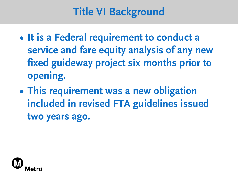# **Title VI Background**

- **• It is a Federal requirement to conduct a service and fare equity analysis of any new fixed guideway project six months prior to opening.**
- **• This requirement was a new obligation included in revised FTA guidelines issued two years ago.**

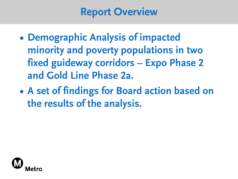#### **Report Overview**

- **• Demographic Analysis of impacted minority and poverty populations in two fixed guideway corridors – Expo Phase 2 and Gold Line Phase 2a.**
- **• A set of findings for Board action based on the results of the analysis.**

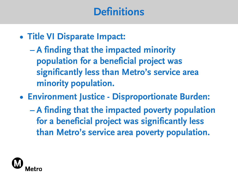### **Definitions**

- **• Title VI Disparate Impact:**
	- **– A finding that the impacted minority population for a beneficial project was significantly less than Metro's service area minority population.**
- **• Environment Justice - Disproportionate Burden:**
	- **– A finding that the impacted poverty population for a beneficial project was significantly less than Metro's service area poverty population.**

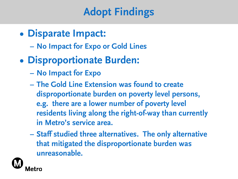# **Adopt Findings**

- **• Disparate Impact:**
	- **– No Impact for Expo or Gold Lines**
- **• Disproportionate Burden:**
	- **– No Impact for Expo**
	- **– The Gold Line Extension was found to create disproportionate burden on poverty level persons, e.g. there are a lower number of poverty level residents living along the right-of-way than currently in Metro's service area.**
	- **– Staff studied three alternatives. The only alternative that mitigated the disproportionate burden was unreasonable.**